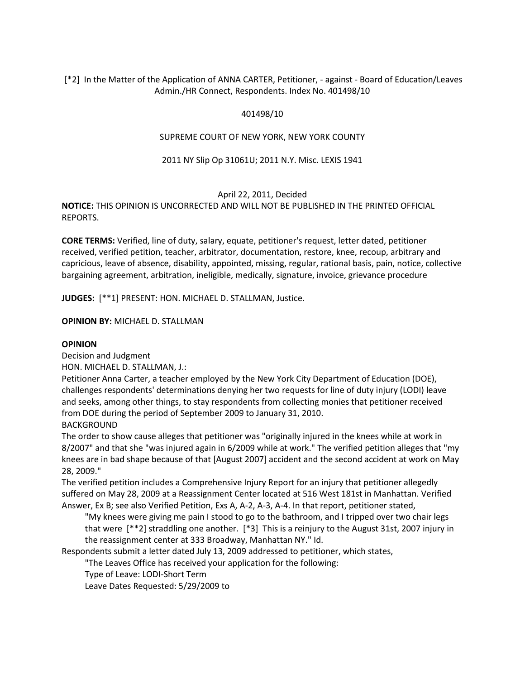# [\*2] In the Matter of the Application of ANNA CARTER, Petitioner, - against - Board of Education/Leaves Admin./HR Connect, Respondents. Index No. 401498/10

# 401498/10

## SUPREME COURT OF NEW YORK, NEW YORK COUNTY

## 2011 NY Slip Op 31061U; 2011 N.Y. Misc. LEXIS 1941

### April 22, 2011, Decided

**NOTICE:** THIS OPINION IS UNCORRECTED AND WILL NOT BE PUBLISHED IN THE PRINTED OFFICIAL REPORTS.

**CORE TERMS:** Verified, line of duty, salary, equate, petitioner's request, letter dated, petitioner received, verified petition, teacher, arbitrator, documentation, restore, knee, recoup, arbitrary and capricious, leave of absence, disability, appointed, missing, regular, rational basis, pain, notice, collective bargaining agreement, arbitration, ineligible, medically, signature, invoice, grievance procedure

**JUDGES:** [\*\*1] PRESENT: HON. MICHAEL D. STALLMAN, Justice.

### **OPINION BY:** MICHAEL D. STALLMAN

### **OPINION**

Decision and Judgment

HON. MICHAEL D. STALLMAN, J.:

Petitioner Anna Carter, a teacher employed by the New York City Department of Education (DOE), challenges respondents' determinations denying her two requests for line of duty injury (LODI) leave and seeks, among other things, to stay respondents from collecting monies that petitioner received from DOE during the period of September 2009 to January 31, 2010.

BACKGROUND

The order to show cause alleges that petitioner was "originally injured in the knees while at work in 8/2007" and that she "was injured again in 6/2009 while at work." The verified petition alleges that "my knees are in bad shape because of that [August 2007] accident and the second accident at work on May 28, 2009."

The verified petition includes a Comprehensive Injury Report for an injury that petitioner allegedly suffered on May 28, 2009 at a Reassignment Center located at 516 West 181st in Manhattan. Verified Answer, Ex B; see also Verified Petition, Exs A, A-2, A-3, A-4. In that report, petitioner stated,

"My knees were giving me pain I stood to go to the bathroom, and I tripped over two chair legs that were [\*\*2] straddling one another. [\*3] This is a reinjury to the August 31st, 2007 injury in the reassignment center at 333 Broadway, Manhattan NY." Id.

Respondents submit a letter dated July 13, 2009 addressed to petitioner, which states,

"The Leaves Office has received your application for the following:

Type of Leave: LODI-Short Term

Leave Dates Requested: 5/29/2009 to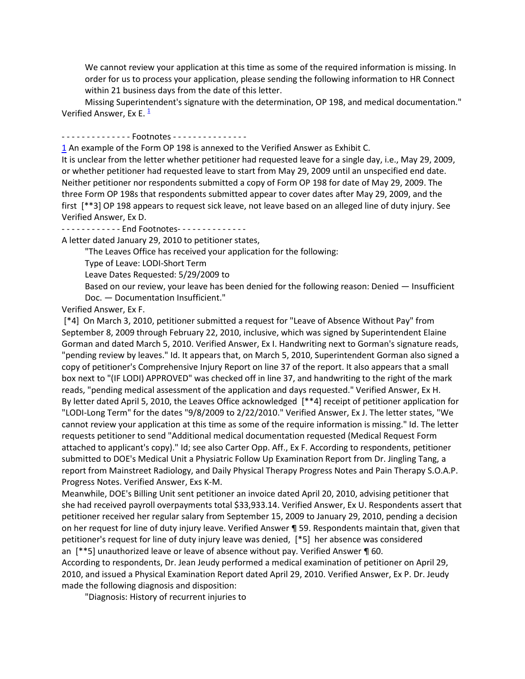We cannot review your application at this time as some of the required information is missing. In order for us to process your application, please sending the following information to HR Connect within 21 business days from the date of this letter.

Missing Superintendent's signature with the determination, OP 198, and medical documentation." Verified Answer, Ex E.  $\frac{1}{2}$  $\frac{1}{2}$  $\frac{1}{2}$ 

#### - - - - - - - - - - - - - - Footnotes - - - - - - - - - - - - - - - -

[1](http://www.lexisnexis.com.ezproxy.strose.edu/lnacui2api/frame.do?reloadEntirePage=true&rand=1306781515124&returnToKey=20_T12065564585&parent=docview&target=results_DocumentContent&tokenKey=rsh-20.975317.4657941081#ref1) An example of the Form OP 198 is annexed to the Verified Answer as Exhibit C.

It is unclear from the letter whether petitioner had requested leave for a single day, i.e., May 29, 2009, or whether petitioner had requested leave to start from May 29, 2009 until an unspecified end date. Neither petitioner nor respondents submitted a copy of Form OP 198 for date of May 29, 2009. The three Form OP 198s that respondents submitted appear to cover dates after May 29, 2009, and the first [\*\*3] OP 198 appears to request sick leave, not leave based on an alleged line of duty injury. See Verified Answer, Ex D.

- - - - - - - - - - - - - End Footnotes - - - - - - - - - - - - - -

A letter dated January 29, 2010 to petitioner states,

"The Leaves Office has received your application for the following:

Type of Leave: LODI-Short Term

Leave Dates Requested: 5/29/2009 to

Based on our review, your leave has been denied for the following reason: Denied — Insufficient Doc. — Documentation Insufficient."

Verified Answer, Ex F.

[\*4] On March 3, 2010, petitioner submitted a request for "Leave of Absence Without Pay" from September 8, 2009 through February 22, 2010, inclusive, which was signed by Superintendent Elaine Gorman and dated March 5, 2010. Verified Answer, Ex I. Handwriting next to Gorman's signature reads, "pending review by leaves." Id. It appears that, on March 5, 2010, Superintendent Gorman also signed a copy of petitioner's Comprehensive Injury Report on line 37 of the report. It also appears that a small box next to "(IF LODI) APPROVED" was checked off in line 37, and handwriting to the right of the mark reads, "pending medical assessment of the application and days requested." Verified Answer, Ex H. By letter dated April 5, 2010, the Leaves Office acknowledged [\*\*4] receipt of petitioner application for "LODI-Long Term" for the dates "9/8/2009 to 2/22/2010." Verified Answer, Ex J. The letter states, "We cannot review your application at this time as some of the require information is missing." Id. The letter requests petitioner to send "Additional medical documentation requested (Medical Request Form attached to applicant's copy)." Id; see also Carter Opp. Aff., Ex F. According to respondents, petitioner submitted to DOE's Medical Unit a Physiatric Follow Up Examination Report from Dr. Jingling Tang, a report from Mainstreet Radiology, and Daily Physical Therapy Progress Notes and Pain Therapy S.O.A.P. Progress Notes. Verified Answer, Exs K-M.

Meanwhile, DOE's Billing Unit sent petitioner an invoice dated April 20, 2010, advising petitioner that she had received payroll overpayments total \$33,933.14. Verified Answer, Ex U. Respondents assert that petitioner received her regular salary from September 15, 2009 to January 29, 2010, pending a decision on her request for line of duty injury leave. Verified Answer ¶ 59. Respondents maintain that, given that petitioner's request for line of duty injury leave was denied, [\*5] her absence was considered an [\*\*5] unauthorized leave or leave of absence without pay. Verified Answer ¶ 60.

According to respondents, Dr. Jean Jeudy performed a medical examination of petitioner on April 29, 2010, and issued a Physical Examination Report dated April 29, 2010. Verified Answer, Ex P. Dr. Jeudy made the following diagnosis and disposition:

"Diagnosis: History of recurrent injuries to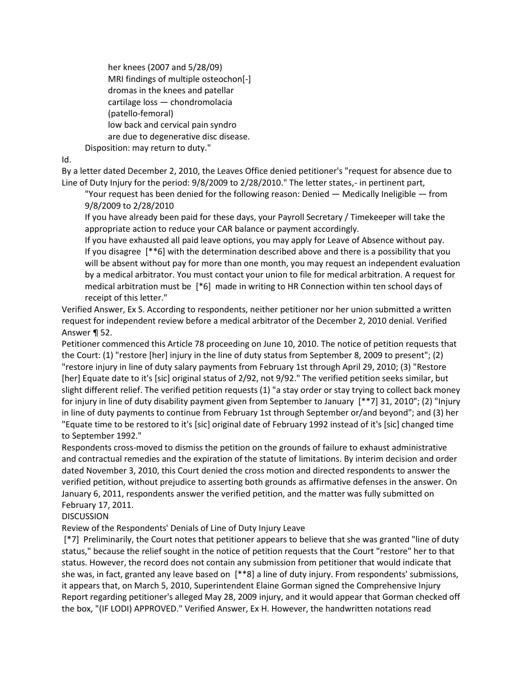her knees (2007 and 5/28/09) MRI findings of multiple osteochon[-] dromas in the knees and patellar cartilage loss — chondromolacia (patello-femoral) low back and cervical pain syndro are due to degenerative disc disease.

Disposition: may return to duty."

Id.

By a letter dated December 2, 2010, the Leaves Office denied petitioner's "request for absence due to Line of Duty Injury for the period: 9/8/2009 to 2/28/2010." The letter states,- in pertinent part,

"Your request has been denied for the following reason: Denied — Medically Ineligible — from 9/8/2009 to 2/28/2010

If you have already been paid for these days, your Payroll Secretary / Timekeeper will take the appropriate action to reduce your CAR balance or payment accordingly.

If you have exhausted all paid leave options, you may apply for Leave of Absence without pay. If you disagree [\*\*6] with the determination described above and there is a possibility that you will be absent without pay for more than one month, you may request an independent evaluation by a medical arbitrator. You must contact your union to file for medical arbitration. A request for medical arbitration must be [\*6] made in writing to HR Connection within ten school days of receipt of this letter."

Verified Answer, Ex S. According to respondents, neither petitioner nor her union submitted a written request for independent review before a medical arbitrator of the December 2, 2010 denial. Verified Answer ¶ 52.

Petitioner commenced this Article 78 proceeding on June 10, 2010. The notice of petition requests that the Court: (1) "restore [her] injury in the line of duty status from September 8, 2009 to present"; (2) "restore injury in line of duty salary payments from February 1st through April 29, 2010; (3) "Restore [her] Equate date to it's [sic] original status of 2/92, not 9/92." The verified petition seeks similar, but slight different relief. The verified petition requests (1) "a stay order or stay trying to collect back money for injury in line of duty disability payment given from September to January [\*\*7] 31, 2010"; (2) "Injury in line of duty payments to continue from February 1st through September or/and beyond"; and (3) her "Equate time to be restored to it's [sic] original date of February 1992 instead of it's [sic] changed time to September 1992."

Respondents cross-moved to dismiss the petition on the grounds of failure to exhaust administrative and contractual remedies and the expiration of the statute of limitations. By interim decision and order dated November 3, 2010, this Court denied the cross motion and directed respondents to answer the verified petition, without prejudice to asserting both grounds as affirmative defenses in the answer. On January 6, 2011, respondents answer the verified petition, and the matter was fully submitted on February 17, 2011.

**DISCUSSION** 

Review of the Respondents' Denials of Line of Duty Injury Leave

[\*7] Preliminarily, the Court notes that petitioner appears to believe that she was granted "line of duty status," because the relief sought in the notice of petition requests that the Court "restore" her to that status. However, the record does not contain any submission from petitioner that would indicate that she was, in fact, granted any leave based on [\*\*8] a line of duty injury. From respondents' submissions, it appears that, on March 5, 2010, Superintendent Elaine Gorman signed the Comprehensive Injury Report regarding petitioner's alleged May 28, 2009 injury, and it would appear that Gorman checked off the box, "(IF LODI) APPROVED." Verified Answer, Ex H. However, the handwritten notations read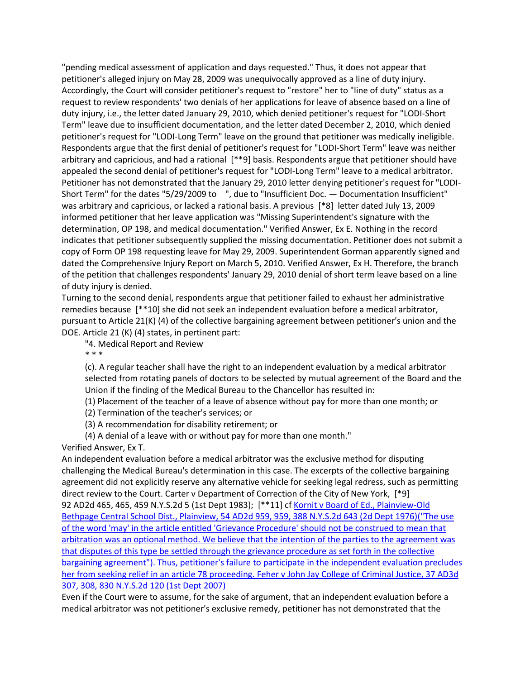"pending medical assessment of application and days requested." Thus, it does not appear that petitioner's alleged injury on May 28, 2009 was unequivocally approved as a line of duty injury. Accordingly, the Court will consider petitioner's request to "restore" her to "line of duty" status as a request to review respondents' two denials of her applications for leave of absence based on a line of duty injury, i.e., the letter dated January 29, 2010, which denied petitioner's request for "LODI-Short Term" leave due to insufficient documentation, and the letter dated December 2, 2010, which denied petitioner's request for "LODI-Long Term" leave on the ground that petitioner was medically ineligible. Respondents argue that the first denial of petitioner's request for "LODI-Short Term" leave was neither arbitrary and capricious, and had a rational [\*\*9] basis. Respondents argue that petitioner should have appealed the second denial of petitioner's request for "LODI-Long Term" leave to a medical arbitrator. Petitioner has not demonstrated that the January 29, 2010 letter denying petitioner's request for "LODI-Short Term" for the dates "5/29/2009 to ", due to "Insufficient Doc. — Documentation Insufficient" was arbitrary and capricious, or lacked a rational basis. A previous [\*8] letter dated July 13, 2009 informed petitioner that her leave application was "Missing Superintendent's signature with the determination, OP 198, and medical documentation." Verified Answer, Ex E. Nothing in the record indicates that petitioner subsequently supplied the missing documentation. Petitioner does not submit a copy of Form OP 198 requesting leave for May 29, 2009. Superintendent Gorman apparently signed and dated the Comprehensive Injury Report on March 5, 2010. Verified Answer, Ex H. Therefore, the branch of the petition that challenges respondents' January 29, 2010 denial of short term leave based on a line of duty injury is denied.

Turning to the second denial, respondents argue that petitioner failed to exhaust her administrative remedies because [\*\*10] she did not seek an independent evaluation before a medical arbitrator, pursuant to Article 21(K) (4) of the collective bargaining agreement between petitioner's union and the DOE. Article 21 (K) (4) states, in pertinent part:

"4. Medical Report and Review

\* \* \*

(c). A regular teacher shall have the right to an independent evaluation by a medical arbitrator selected from rotating panels of doctors to be selected by mutual agreement of the Board and the Union if the finding of the Medical Bureau to the Chancellor has resulted in:

(1) Placement of the teacher of a leave of absence without pay for more than one month; or

(2) Termination of the teacher's services; or

(3) A recommendation for disability retirement; or

(4) A denial of a leave with or without pay for more than one month."

Verified Answer, Ex T.

An independent evaluation before a medical arbitrator was the exclusive method for disputing challenging the Medical Bureau's determination in this case. The excerpts of the collective bargaining agreement did not explicitly reserve any alternative vehicle for seeking legal redress, such as permitting direct review to the Court. Carter v Department of Correction of the City of New York, [\*9] 92 AD2d 465, 465, 459 N.Y.S.2d 5 (1st Dept 1983); [\*\*11] c[f Kornit v Board of Ed., Plainview-Old](http://www.lexisnexis.com.ezproxy.strose.edu/lnacui2api/mungo/lexseestat.do?bct=A&risb=21_T12065449606&homeCsi=9095&A=0.9675206949708349&urlEnc=ISO-8859-1&&citeString=54%20A.D.2d%20959&countryCode=USA)  [Bethpage Central School Dist., Plainview, 54 AD2d 959, 959, 388 N.Y.S.2d 643 \(2d Dept 1976\)](http://www.lexisnexis.com.ezproxy.strose.edu/lnacui2api/mungo/lexseestat.do?bct=A&risb=21_T12065449606&homeCsi=9095&A=0.9675206949708349&urlEnc=ISO-8859-1&&citeString=54%20A.D.2d%20959&countryCode=USA)[\("The use](http://www.lexisnexis.com.ezproxy.strose.edu/lnacui2api/mungo/lexseestat.do?bct=A&risb=21_T12065449606&homeCsi=9095&A=0.9675206949708349&urlEnc=ISO-8859-1&&citeString=92%20A.D.2d%20465&countryCode=USA)  [of the word 'may' in the article entitled 'Grievance Procedure' should not be construed to mean that](http://www.lexisnexis.com.ezproxy.strose.edu/lnacui2api/mungo/lexseestat.do?bct=A&risb=21_T12065449606&homeCsi=9095&A=0.9675206949708349&urlEnc=ISO-8859-1&&citeString=92%20A.D.2d%20465&countryCode=USA)  [arbitration was an optional method. We believe that the intention of the parties to the agreement was](http://www.lexisnexis.com.ezproxy.strose.edu/lnacui2api/mungo/lexseestat.do?bct=A&risb=21_T12065449606&homeCsi=9095&A=0.9675206949708349&urlEnc=ISO-8859-1&&citeString=92%20A.D.2d%20465&countryCode=USA)  [that disputes of this type be settled through the grievance procedure as set forth in the collective](http://www.lexisnexis.com.ezproxy.strose.edu/lnacui2api/mungo/lexseestat.do?bct=A&risb=21_T12065449606&homeCsi=9095&A=0.9675206949708349&urlEnc=ISO-8859-1&&citeString=92%20A.D.2d%20465&countryCode=USA)  [bargaining agreement"\). Thus, petitioner's failure to participate in the independent evaluation precludes](http://www.lexisnexis.com.ezproxy.strose.edu/lnacui2api/mungo/lexseestat.do?bct=A&risb=21_T12065449606&homeCsi=9095&A=0.9675206949708349&urlEnc=ISO-8859-1&&citeString=92%20A.D.2d%20465&countryCode=USA)  [her from seeking relief in an article 78 proceeding.](http://www.lexisnexis.com.ezproxy.strose.edu/lnacui2api/mungo/lexseestat.do?bct=A&risb=21_T12065449606&homeCsi=9095&A=0.9675206949708349&urlEnc=ISO-8859-1&&citeString=92%20A.D.2d%20465&countryCode=USA) [Feher v John Jay College of Criminal Justice, 37 AD3d](http://www.lexisnexis.com.ezproxy.strose.edu/lnacui2api/mungo/lexseestat.do?bct=A&risb=21_T12065449606&homeCsi=9095&A=0.9675206949708349&urlEnc=ISO-8859-1&&citeString=37%20A.D.3d%20307,%20308&countryCode=USA)  [307, 308, 830 N.Y.S.2d 120 \(1st Dept 2007\)](http://www.lexisnexis.com.ezproxy.strose.edu/lnacui2api/mungo/lexseestat.do?bct=A&risb=21_T12065449606&homeCsi=9095&A=0.9675206949708349&urlEnc=ISO-8859-1&&citeString=37%20A.D.3d%20307,%20308&countryCode=USA)

Even if the Court were to assume, for the sake of argument, that an independent evaluation before a medical arbitrator was not petitioner's exclusive remedy, petitioner has not demonstrated that the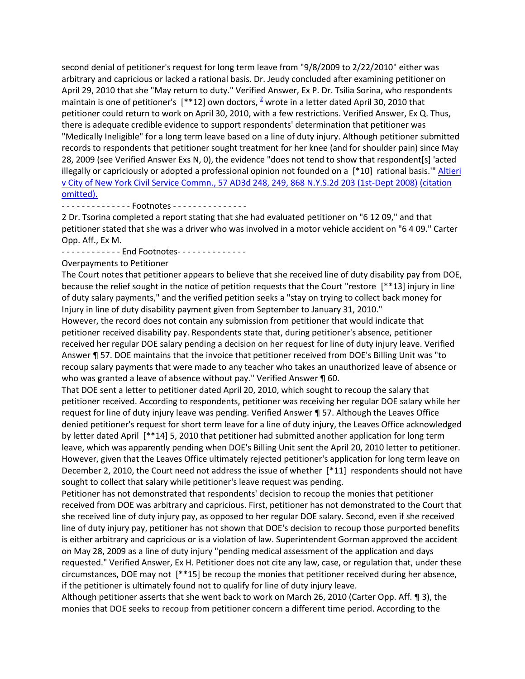second denial of petitioner's request for long term leave from "9/8/2009 to 2/22/2010" either was arbitrary and capricious or lacked a rational basis. Dr. Jeudy concluded after examining petitioner on April 29, 2010 that she "May return to duty." Verified Answer, Ex P. Dr. Tsilia Sorina, who respondents maintainis one of petitioner's  $[$ \*\*12] own doctors, <sup>2</sup> wrote in a letter dated April 30, 2010 that petitioner could return to work on April 30, 2010, with a few restrictions. Verified Answer, Ex Q. Thus, there is adequate credible evidence to support respondents' determination that petitioner was "Medically Ineligible" for a long term leave based on a line of duty injury. Although petitioner submitted records to respondents that petitioner sought treatment for her knee (and for shoulder pain) since May 28, 2009 (see Verified Answer Exs N, 0), the evidence "does not tend to show that respondent[s] 'acted illegally or capriciously or adopted a professional opinion not founded on a [\*10] rational basis.'" [Altieri](http://www.lexisnexis.com.ezproxy.strose.edu/lnacui2api/mungo/lexseestat.do?bct=A&risb=21_T12065449606&homeCsi=9095&A=0.9675206949708349&urlEnc=ISO-8859-1&&citeString=57%20A.D.3d%20248,%20249&countryCode=USA)  [v City of New York Civil Service Commn., 57 AD3d 248, 249, 868 N.Y.S.2d 203 \(1st-Dept 2008\)](http://www.lexisnexis.com.ezproxy.strose.edu/lnacui2api/mungo/lexseestat.do?bct=A&risb=21_T12065449606&homeCsi=9095&A=0.9675206949708349&urlEnc=ISO-8859-1&&citeString=57%20A.D.3d%20248,%20249&countryCode=USA) [\(citation](http://www.lexisnexis.com.ezproxy.strose.edu/lnacui2api/mungo/lexseestat.do?bct=A&risb=21_T12065449606&homeCsi=9095&A=0.9675206949708349&urlEnc=ISO-8859-1&&citeString=92%20A.D.2d%20465&countryCode=USA)  [omitted\).](http://www.lexisnexis.com.ezproxy.strose.edu/lnacui2api/mungo/lexseestat.do?bct=A&risb=21_T12065449606&homeCsi=9095&A=0.9675206949708349&urlEnc=ISO-8859-1&&citeString=92%20A.D.2d%20465&countryCode=USA)

- - - - - - - - - - - - - - Footnotes - - - - - - - - - - - - - - -

2 Dr. Tsorina completed a report stating that she had evaluated petitioner on "6 12 09," and that petitioner stated that she was a driver who was involved in a motor vehicle accident on "6 4 09." Carter Opp. Aff., Ex M.

- - - - - - - - - - - - End Footnotes - - - - - - - - - - - - - -

Overpayments to Petitioner

The Court notes that petitioner appears to believe that she received line of duty disability pay from DOE, because the relief sought in the notice of petition requests that the Court "restore [\*\*13] injury in line of duty salary payments," and the verified petition seeks a "stay on trying to collect back money for Injury in line of duty disability payment given from September to January 31, 2010."

However, the record does not contain any submission from petitioner that would indicate that petitioner received disability pay. Respondents state that, during petitioner's absence, petitioner received her regular DOE salary pending a decision on her request for line of duty injury leave. Verified Answer ¶ 57. DOE maintains that the invoice that petitioner received from DOE's Billing Unit was "to recoup salary payments that were made to any teacher who takes an unauthorized leave of absence or who was granted a leave of absence without pay." Verified Answer ¶ 60.

That DOE sent a letter to petitioner dated April 20, 2010, which sought to recoup the salary that petitioner received. According to respondents, petitioner was receiving her regular DOE salary while her request for line of duty injury leave was pending. Verified Answer ¶ 57. Although the Leaves Office denied petitioner's request for short term leave for a line of duty injury, the Leaves Office acknowledged by letter dated April [\*\*14] 5, 2010 that petitioner had submitted another application for long term leave, which was apparently pending when DOE's Billing Unit sent the April 20, 2010 letter to petitioner. However, given that the Leaves Office ultimately rejected petitioner's application for long term leave on December 2, 2010, the Court need not address the issue of whether [\*11] respondents should not have sought to collect that salary while petitioner's leave request was pending.

Petitioner has not demonstrated that respondents' decision to recoup the monies that petitioner received from DOE was arbitrary and capricious. First, petitioner has not demonstrated to the Court that she received line of duty injury pay, as opposed to her regular DOE salary. Second, even if she received line of duty injury pay, petitioner has not shown that DOE's decision to recoup those purported benefits is either arbitrary and capricious or is a violation of law. Superintendent Gorman approved the accident on May 28, 2009 as a line of duty injury "pending medical assessment of the application and days requested." Verified Answer, Ex H. Petitioner does not cite any law, case, or regulation that, under these circumstances, DOE may not [\*\*15] be recoup the monies that petitioner received during her absence, if the petitioner is ultimately found not to qualify for line of duty injury leave.

Although petitioner asserts that she went back to work on March 26, 2010 (Carter Opp. Aff. ¶ 3), the monies that DOE seeks to recoup from petitioner concern a different time period. According to the